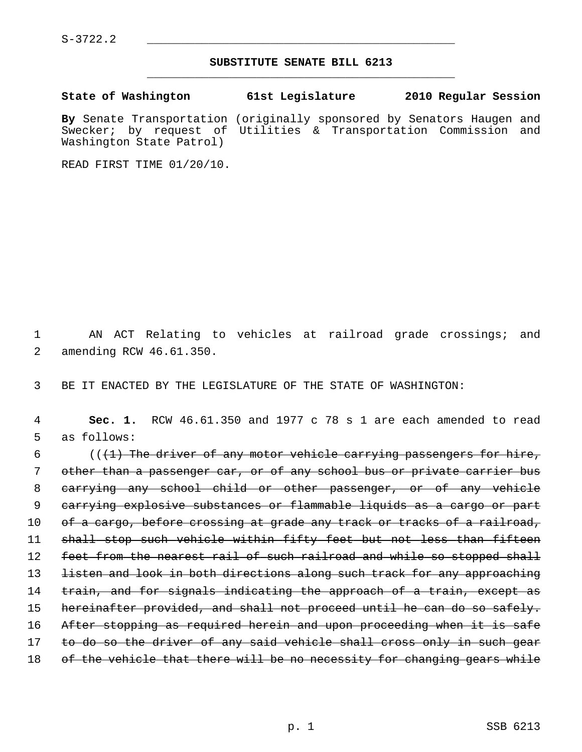$S-3722.2$ 

## **SUBSTITUTE SENATE BILL 6213** \_\_\_\_\_\_\_\_\_\_\_\_\_\_\_\_\_\_\_\_\_\_\_\_\_\_\_\_\_\_\_\_\_\_\_\_\_\_\_\_\_\_\_\_\_

**State of Washington 61st Legislature 2010 Regular Session**

**By** Senate Transportation (originally sponsored by Senators Haugen and Swecker; by request of Utilities & Transportation Commission and Washington State Patrol)

READ FIRST TIME 01/20/10.

 1 AN ACT Relating to vehicles at railroad grade crossings; and 2 amending RCW 46.61.350.

3 BE IT ENACTED BY THE LEGISLATURE OF THE STATE OF WASHINGTON:

 4 **Sec. 1.** RCW 46.61.350 and 1977 c 78 s 1 are each amended to read 5 as follows:

6  $($   $($   $($   $+$   $)$  The driver of any motor vehicle carrying passengers for hire, 7 other than a passenger car, or of any school bus or private carrier bus 8 carrying any school child or other passenger, or of any vehicle 9 carrying explosive substances or flammable liquids as a cargo or part 10 of a cargo, before crossing at grade any track or tracks of a railroad, 11 shall stop such vehicle within fifty feet but not less than fifteen 12 feet from the nearest rail of such railroad and while so stopped shall 13 listen and look in both directions along such track for any approaching 14 train, and for signals indicating the approach of a train, except as 15 hereinafter provided, and shall not proceed until he can do so safely. 16 After stopping as required herein and upon proceeding when it is safe 17 to do so the driver of any said vehicle shall cross only in such gear 18 of the vehicle that there will be no necessity for changing gears while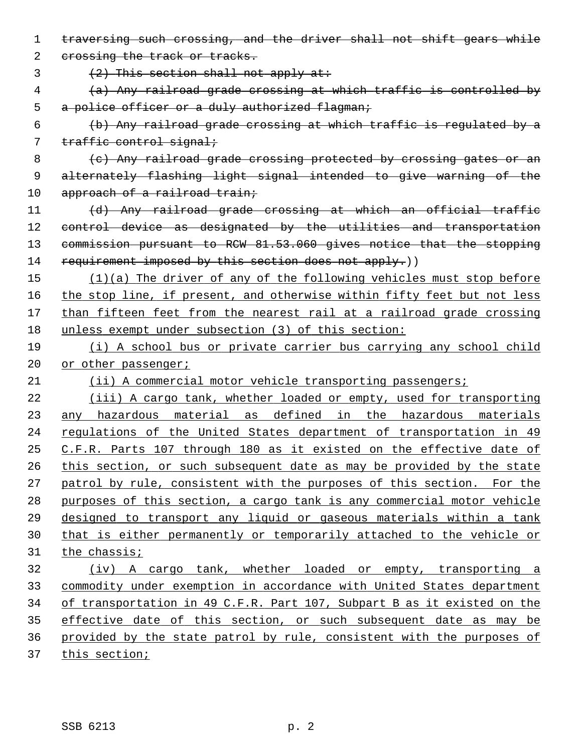traversing such crossing, and the driver shall not shift gears while 2 crossing the track or tracks.  $(2)$  This section shall not apply at: (a) Any railroad grade crossing at which traffic is controlled by 5 a police officer or a duly authorized flagman; (b) Any railroad grade crossing at which traffic is regulated by a 7 traffic control signal; 8 (c) Any railroad grade crossing protected by crossing gates or an alternately flashing light signal intended to give warning of the 10 approach of a railroad train; (d) Any railroad grade crossing at which an official traffic 12 control device as designated by the utilities and transportation commission pursuant to RCW 81.53.060 gives notice that the stopping 14 requirement imposed by this section does not apply.)) (1)(a) The driver of any of the following vehicles must stop before the stop line, if present, and otherwise within fifty feet but not less than fifteen feet from the nearest rail at a railroad grade crossing unless exempt under subsection (3) of this section: (i) A school bus or private carrier bus carrying any school child 20 or other passenger; (ii) A commercial motor vehicle transporting passengers; (iii) A cargo tank, whether loaded or empty, used for transporting any hazardous material as defined in the hazardous materials regulations of the United States department of transportation in 49 C.F.R. Parts 107 through 180 as it existed on the effective date of this section, or such subsequent date as may be provided by the state patrol by rule, consistent with the purposes of this section. For the purposes of this section, a cargo tank is any commercial motor vehicle designed to transport any liquid or gaseous materials within a tank that is either permanently or temporarily attached to the vehicle or the chassis; (iv) A cargo tank, whether loaded or empty, transporting a commodity under exemption in accordance with United States department of transportation in 49 C.F.R. Part 107, Subpart B as it existed on the effective date of this section, or such subsequent date as may be provided by the state patrol by rule, consistent with the purposes of this section;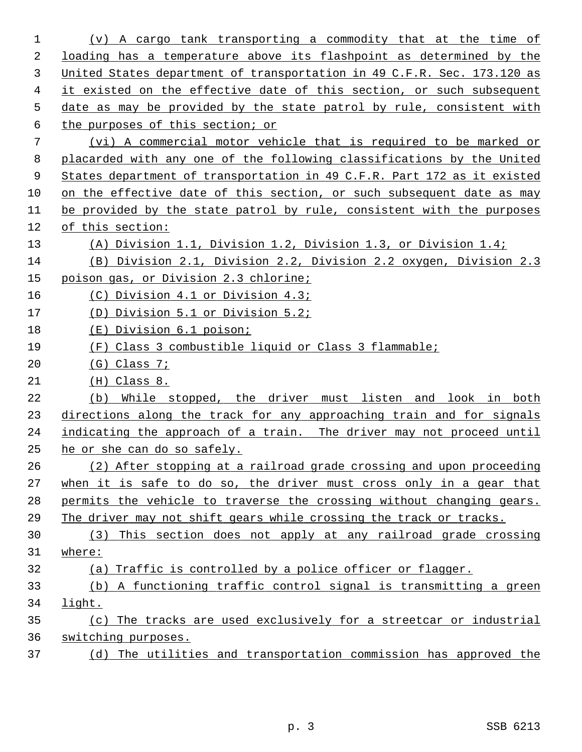| 1  | (v) A cargo tank transporting a commodity that at the time of           |
|----|-------------------------------------------------------------------------|
| 2  | loading has a temperature above its flashpoint as determined by the     |
| 3  | United States department of transportation in 49 C.F.R. Sec. 173.120 as |
| 4  | it existed on the effective date of this section, or such subsequent    |
| 5  | date as may be provided by the state patrol by rule, consistent with    |
| 6  | the purposes of this section; or                                        |
| 7  | (vi) A commercial motor vehicle that is required to be marked or        |
| 8  | placarded with any one of the following classifications by the United   |
| 9  | States department of transportation in 49 C.F.R. Part 172 as it existed |
| 10 | on the effective date of this section, or such subsequent date as may   |
| 11 | be provided by the state patrol by rule, consistent with the purposes   |
| 12 | of this section:                                                        |
| 13 | (A) Division 1.1, Division 1.2, Division 1.3, or Division 1.4;          |
| 14 | (B) Division 2.1, Division 2.2, Division 2.2 oxygen, Division 2.3       |
| 15 | poison gas, or Division 2.3 chlorine;                                   |
| 16 | (C) Division 4.1 or Division 4.3;                                       |
| 17 | (D) Division 5.1 or Division 5.2;                                       |
| 18 | (E) Division 6.1 poison;                                                |
| 19 | (F) Class 3 combustible liquid or Class 3 flammable;                    |
| 20 | $(G)$ Class 7;                                                          |
| 21 | $(H)$ Class 8.                                                          |
| 22 | While stopped, the driver must listen and look in both<br>(b)           |
| 23 | directions along the track for any approaching train and for signals    |
| 24 | indicating the approach of a train. The driver may not proceed until    |
| 25 | he or she can do so safely.                                             |
| 26 | (2) After stopping at a railroad grade crossing and upon proceeding     |
| 27 | when it is safe to do so, the driver must cross only in a gear that     |
| 28 | permits the vehicle to traverse the crossing without changing gears.    |
| 29 | The driver may not shift gears while crossing the track or tracks.      |
| 30 | (3) This section does not apply at any railroad grade crossing          |
| 31 | where:                                                                  |
| 32 | (a) Traffic is controlled by a police officer or flagger.               |
| 33 | (b) A functioning traffic control signal is transmitting a green        |
| 34 | light.                                                                  |
| 35 | The tracks are used exclusively for a streetcar or industrial<br>(c)    |
| 36 | switching purposes.                                                     |
| 37 | (d) The utilities and transportation commission has approved the        |